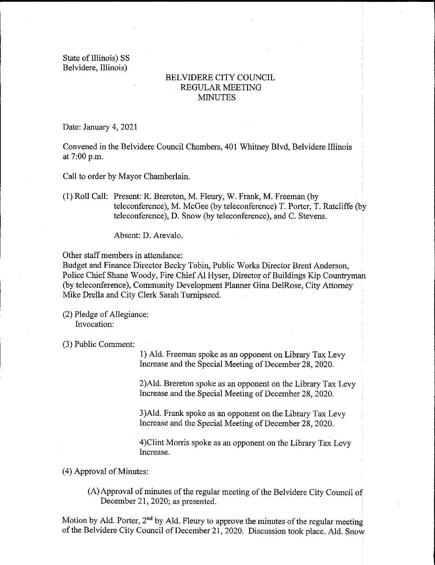State of Illinois) SS Belvidere, Illinois)

## BELVIDERE CITY COUNCIL REGULAR MEETING **MINUTES**

Date: January 4, 2021

Convened in the Belvidere Council Chambers, 401 Whitney Blvd, Belvidere Illinois at 7:00 p.m.

Call to order by Mayor Chamberlain.

1) Roll Call: Present: R. Brereton, M. Fleury, W. Frank, M. Freeman ( by teleconference), M. McGee ( by teleconference) T. Porter, T. Ratcliffe ( by teleconference), D. Snow( by teleconference), and C. Stevens.

Absent: D. Arevalo.

Other staff members in attendance:

Budget and Finance Director Becky Tobin, Public Works Director Brent Anderson, Police Chief Shane Woody, Fire Chief Al Hyser, Director of Buildings Kip Countryman by teleconference), Community Development Planner Gina DelRose, City Attorney Mike Drella and City Clerk Sarah Turnipseed.

(2) Pledge of Allegiance: Invocation:

3) Public Comment:

1) Ald. Freeman spoke as an opponent on Library Tax Levy Increase and the Special Meeting of December 28, 2020.

2)Ald. Brereton spoke as an opponent on the Library Tax Levy Increase and the Special Meeting of December 28, 2020.

3) Ald. Frank spoke as an opponent on the Library Tax Levy Increase and the Special Meeting of December 28, 2020.

4)Clint Morris spoke as an opponent on the Library Tax Levy Increase.

4) Approval of Minutes:

A) Approval of minutes of the regular meeting of the Belvidere City Council of December 21, 2020; as presented.

Motion by Ald. Porter,  $2<sup>nd</sup>$  by Ald. Fleury to approve the minutes of the regular meeting of the Belvidere City Council of December 21, 2020. Discussion took place. Ald. Snow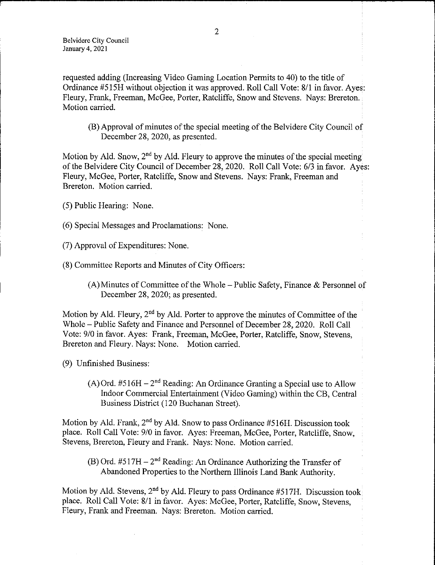requested adding ( Increasing Video Gaming Location Permits to 40) to the title of Ordinance #515H without objection it was approved. Roll Call Vote: 8/1 in favor. Ayes: Fleury, Frank, Freeman, McGee, Porter, Ratcliffe, Snow and Stevens. Nays: Brereton. Motion carried.

B) Approval of minutes of the special meeting of the Belvidere City Council of December 28, 2020, as presented.

Motion by Ald. Snow,  $2<sup>nd</sup>$  by Ald. Fleury to approve the minutes of the special meeting of the Belvidere City Council of December 28, 2020. Roll Call Vote: 6/3 in favor. Ayes: Fleury, McGee, Porter, Ratcliffe, Snow and Stevens. Nays: Frank, Freeman and Brereton. Motion carried.

- 5) Public Hearing: None.
- 6) Special Messages and Proclamations: None.
- 7) Approval ofExpenditures: None.
- 8) Committee Reports and Minutes of City Officers:
	- $(A)$  Minutes of Committee of the Whole Public Safety, Finance & Personnel of December 28, 2020; as presented.

Motion by Ald. Fleury,  $2<sup>nd</sup>$  by Ald. Porter to approve the minutes of Committee of the Whole— Public Safety and Finance and Personnel of December 28, 2020. Roll Call Vote: 9/0 in favor. Ayes: Frank, Freeman, McGee, Porter, Ratcliffe, Snow, Stevens, Brereton and Fleury. Nays: None. Motion carried.

9) Unfinished Business:

 $(A)$  Ord. #516H –  $2<sup>nd</sup>$  Reading: An Ordinance Granting a Special use to Allow Indoor Commercial Entertainment( Video Gaming) within the CB, Central Business District ( 120 Buchanan Street).

Motion by Ald. Frank,  $2<sup>nd</sup>$  by Ald. Snow to pass Ordinance #516H. Discussion took place. Roll Call Vote: 9/0 in favor. Ayes: Freeman, McGee, Porter, Ratcliffe, Snow, Stevens, Brereton, Fleury and Frank. Nays: None. Motion carried.

(B) Ord.  $#517H - 2<sup>nd</sup>$  Reading: An Ordinance Authorizing the Transfer of Abandoned Properties to the Northern Illinois Land Bank Authority.

Motion by Ald. Stevens,  $2<sup>nd</sup>$  by Ald. Fleury to pass Ordinance #517H. Discussion took place. Roll Call Vote: 8/1 in favor. Ayes: McGee, Porter, Ratcliffe, Snow, Stevens, Fleury, Frank and Freeman. Nays: Brereton. Motion carried.